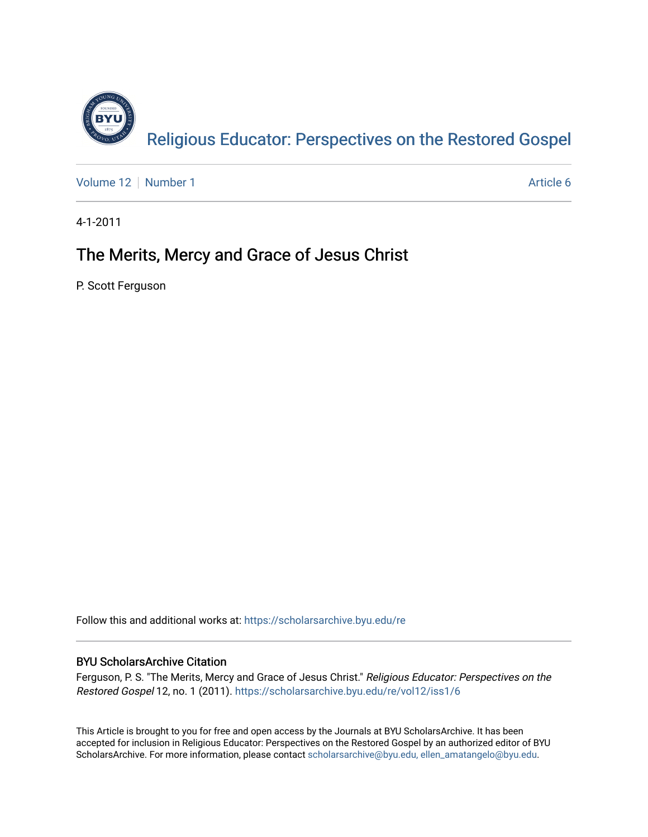

[Volume 12](https://scholarsarchive.byu.edu/re/vol12) [Number 1](https://scholarsarchive.byu.edu/re/vol12/iss1) Article 6

4-1-2011

### The Merits, Mercy and Grace of Jesus Christ

P. Scott Ferguson

Follow this and additional works at: [https://scholarsarchive.byu.edu/re](https://scholarsarchive.byu.edu/re?utm_source=scholarsarchive.byu.edu%2Fre%2Fvol12%2Fiss1%2F6&utm_medium=PDF&utm_campaign=PDFCoverPages)

#### BYU ScholarsArchive Citation

Ferguson, P. S. "The Merits, Mercy and Grace of Jesus Christ." Religious Educator: Perspectives on the Restored Gospel 12, no. 1 (2011). [https://scholarsarchive.byu.edu/re/vol12/iss1/6](https://scholarsarchive.byu.edu/re/vol12/iss1/6?utm_source=scholarsarchive.byu.edu%2Fre%2Fvol12%2Fiss1%2F6&utm_medium=PDF&utm_campaign=PDFCoverPages)

This Article is brought to you for free and open access by the Journals at BYU ScholarsArchive. It has been accepted for inclusion in Religious Educator: Perspectives on the Restored Gospel by an authorized editor of BYU ScholarsArchive. For more information, please contact [scholarsarchive@byu.edu, ellen\\_amatangelo@byu.edu.](mailto:scholarsarchive@byu.edu,%20ellen_amatangelo@byu.edu)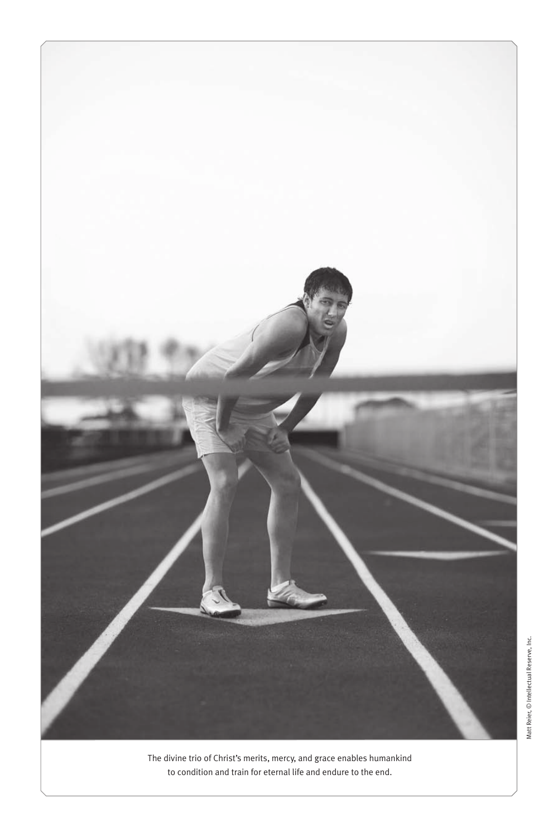

The divine trio of Christ's merits, mercy, and grace enables humankind to condition and train for eternal life and endure to the end.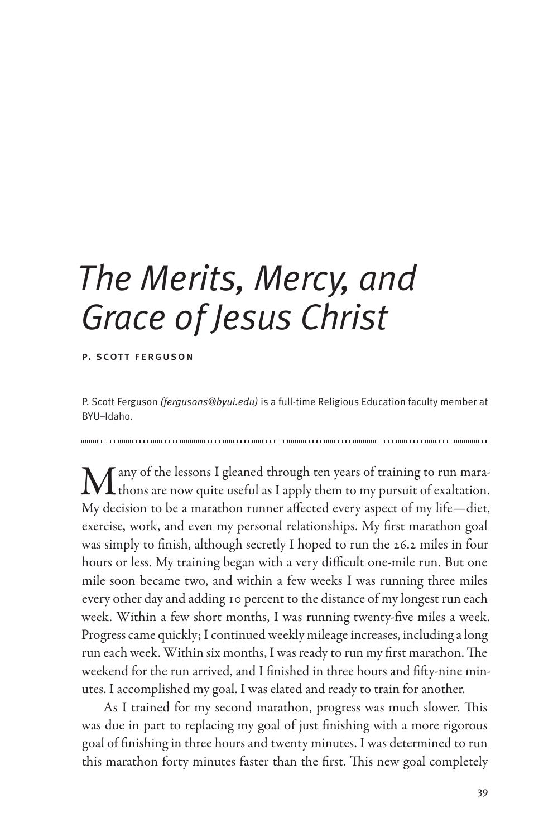# *The Merits, Mercy, and Grace of Jesus Christ*

#### p. scott ferguson

P. Scott Ferguson *(fergusons@byui.edu)* is a full-time Religious Education faculty member at BYU–Idaho.

 $\mathbf M$ any of the lessons I gleaned through ten years of training to run mara-<br>thons are now quite useful as I apply them to my pursuit of exaltation. My decision to be a marathon runner affected every aspect of my life—diet, exercise, work, and even my personal relationships. My first marathon goal was simply to finish, although secretly I hoped to run the 26.2 miles in four hours or less. My training began with a very difficult one-mile run. But one mile soon became two, and within a few weeks I was running three miles every other day and adding 10 percent to the distance of my longest run each week. Within a few short months, I was running twenty-five miles a week. Progress came quickly; I continued weekly mileage increases, including a long run each week. Within six months, I was ready to run my first marathon. The weekend for the run arrived, and I finished in three hours and fifty-nine minutes. I accomplished my goal. I was elated and ready to train for another.

As I trained for my second marathon, progress was much slower. This was due in part to replacing my goal of just finishing with a more rigorous goal of finishing in three hours and twenty minutes. I was determined to run this marathon forty minutes faster than the first. This new goal completely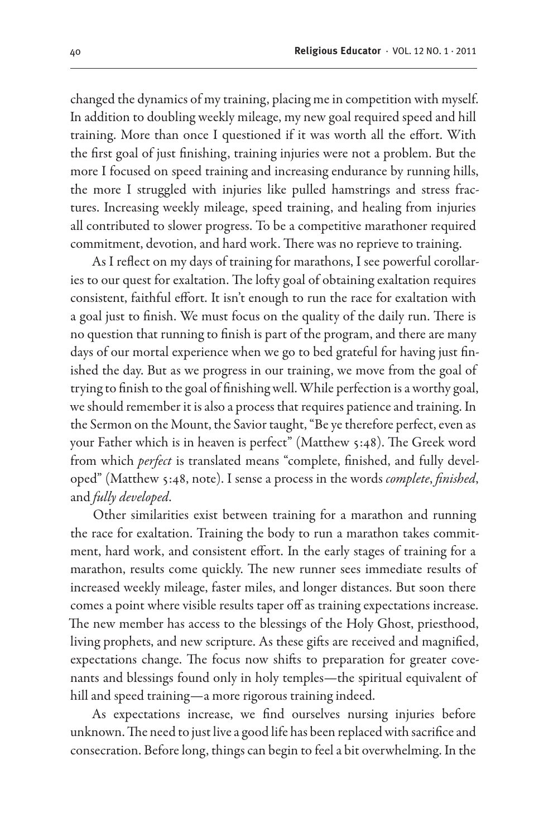changed the dynamics of my training, placing me in competition with myself. In addition to doubling weekly mileage, my new goal required speed and hill training. More than once I questioned if it was worth all the effort. With the first goal of just finishing, training injuries were not a problem. But the more I focused on speed training and increasing endurance by running hills, the more I struggled with injuries like pulled hamstrings and stress fractures. Increasing weekly mileage, speed training, and healing from injuries all contributed to slower progress. To be a competitive marathoner required commitment, devotion, and hard work. There was no reprieve to training.

As I reflect on my days of training for marathons, I see powerful corollaries to our quest for exaltation. The lofty goal of obtaining exaltation requires consistent, faithful effort. It isn't enough to run the race for exaltation with a goal just to finish. We must focus on the quality of the daily run. There is no question that running to finish is part of the program, and there are many days of our mortal experience when we go to bed grateful for having just finished the day. But as we progress in our training, we move from the goal of trying to finish to the goal of finishing well. While perfection is a worthy goal, we should remember it is also a process that requires patience and training. In the Sermon on the Mount, the Savior taught, "Be ye therefore perfect, even as your Father which is in heaven is perfect" (Matthew 5:48). The Greek word from which *perfect* is translated means "complete, finished, and fully developed" (Matthew 5:48, note). I sense a process in the words *complete*, *finished*, and *fully developed*.

Other similarities exist between training for a marathon and running the race for exaltation. Training the body to run a marathon takes commitment, hard work, and consistent effort. In the early stages of training for a marathon, results come quickly. The new runner sees immediate results of increased weekly mileage, faster miles, and longer distances. But soon there comes a point where visible results taper off as training expectations increase. The new member has access to the blessings of the Holy Ghost, priesthood, living prophets, and new scripture. As these gifts are received and magnified, expectations change. The focus now shifts to preparation for greater covenants and blessings found only in holy temples—the spiritual equivalent of hill and speed training—a more rigorous training indeed.

As expectations increase, we find ourselves nursing injuries before unknown. The need to just live a good life has been replaced with sacrifice and consecration. Before long, things can begin to feel a bit overwhelming. In the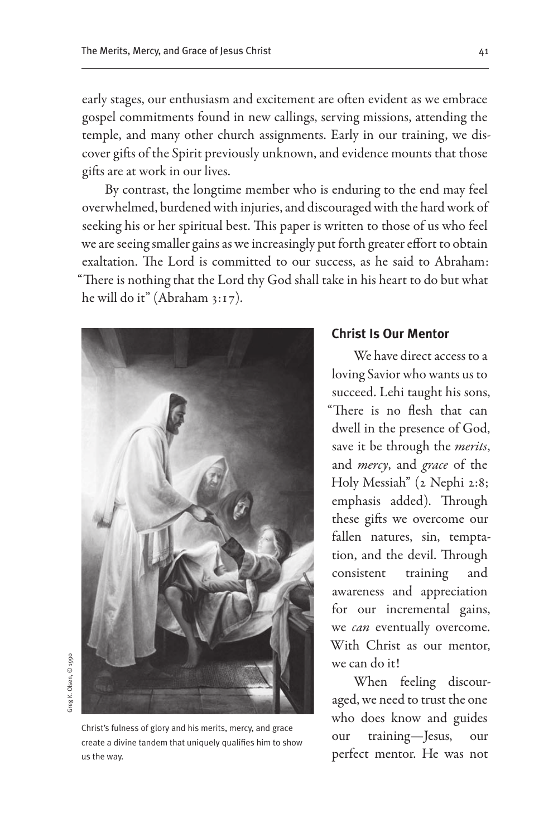early stages, our enthusiasm and excitement are often evident as we embrace gospel commitments found in new callings, serving missions, attending the temple, and many other church assignments. Early in our training, we discover gifts of the Spirit previously unknown, and evidence mounts that those gifts are at work in our lives.

By contrast, the longtime member who is enduring to the end may feel overwhelmed, burdened with injuries, and discouraged with the hard work of seeking his or her spiritual best. This paper is written to those of us who feel we are seeing smaller gains as we increasingly put forth greater effort to obtain exaltation. The Lord is committed to our success, as he said to Abraham: "There is nothing that the Lord thy God shall take in his heart to do but what he will do it" (Abraham 3:17).



## Greg K. Olsen, © 1990 Greg K. Olsen, © 1990

Christ's fulness of glory and his merits, mercy, and grace create a divine tandem that uniquely qualifies him to show us the way.

#### **Christ Is Our Mentor**

We have direct access to a loving Savior who wants us to succeed. Lehi taught his sons, "There is no flesh that can dwell in the presence of God, save it be through the *merits*, and *mercy*, and *grace* of the Holy Messiah" (2 Nephi 2:8; emphasis added). Through these gifts we overcome our fallen natures, sin, temptation, and the devil. Through consistent training and awareness and appreciation for our incremental gains, we *can* eventually overcome. With Christ as our mentor, we can do it!

When feeling discouraged, we need to trust the one who does know and guides our training—Jesus, our perfect mentor. He was not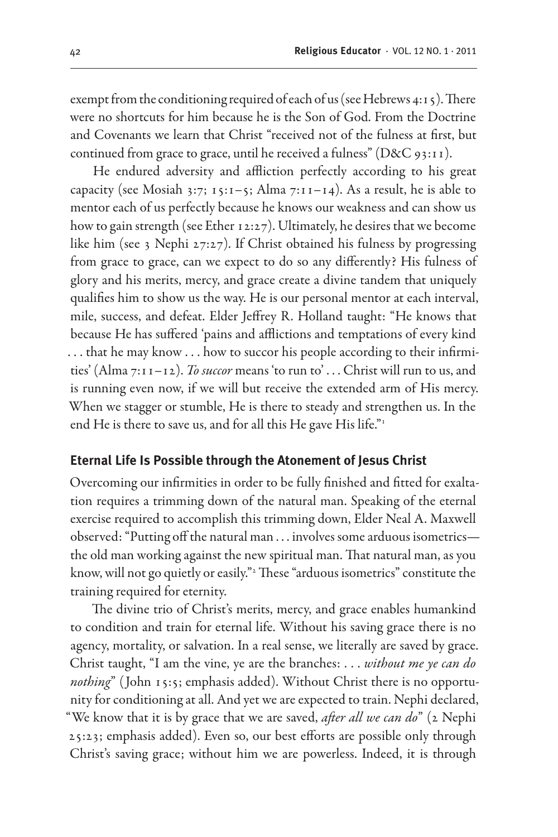exempt from the conditioning required of each of us (see Hebrews 4:15). There were no shortcuts for him because he is the Son of God. From the Doctrine and Covenants we learn that Christ "received not of the fulness at first, but continued from grace to grace, until he received a fulness" (D&C 93:11).

He endured adversity and affliction perfectly according to his great capacity (see Mosiah 3:7;  $15:1-5$ ; Alma 7:11-14). As a result, he is able to mentor each of us perfectly because he knows our weakness and can show us how to gain strength (see Ether 12:27). Ultimately, he desires that we become like him (see 3 Nephi 27:27). If Christ obtained his fulness by progressing from grace to grace, can we expect to do so any differently? His fulness of glory and his merits, mercy, and grace create a divine tandem that uniquely qualifies him to show us the way. He is our personal mentor at each interval, mile, success, and defeat. Elder Jeffrey R. Holland taught: "He knows that because He has suffered 'pains and afflictions and temptations of every kind . . . that he may know . . . how to succor his people according to their infirmities' (Alma 7:11-12). *To succor* means 'to run to' . . . Christ will run to us, and is running even now, if we will but receive the extended arm of His mercy. When we stagger or stumble, He is there to steady and strengthen us. In the end He is there to save us, and for all this He gave His life."<sup>1</sup>

#### **Eternal Life Is Possible through the Atonement of Jesus Christ**

Overcoming our infirmities in order to be fully finished and fitted for exaltation requires a trimming down of the natural man. Speaking of the eternal exercise required to accomplish this trimming down, Elder Neal A. Maxwell observed: "Putting off the natural man . . . involves some arduous isometrics the old man working against the new spiritual man. That natural man, as you know, will not go quietly or easily."2 These "arduous isometrics" constitute the training required for eternity.

The divine trio of Christ's merits, mercy, and grace enables humankind to condition and train for eternal life. Without his saving grace there is no agency, mortality, or salvation. In a real sense, we literally are saved by grace. Christ taught, "I am the vine, ye are the branches: . . . *without me ye can do nothing*" (John 15:5; emphasis added). Without Christ there is no opportunity for conditioning at all. And yet we are expected to train. Nephi declared, "We know that it is by grace that we are saved, *after all we can do*" (2 Nephi 25:23; emphasis added). Even so, our best efforts are possible only through Christ's saving grace; without him we are powerless. Indeed, it is through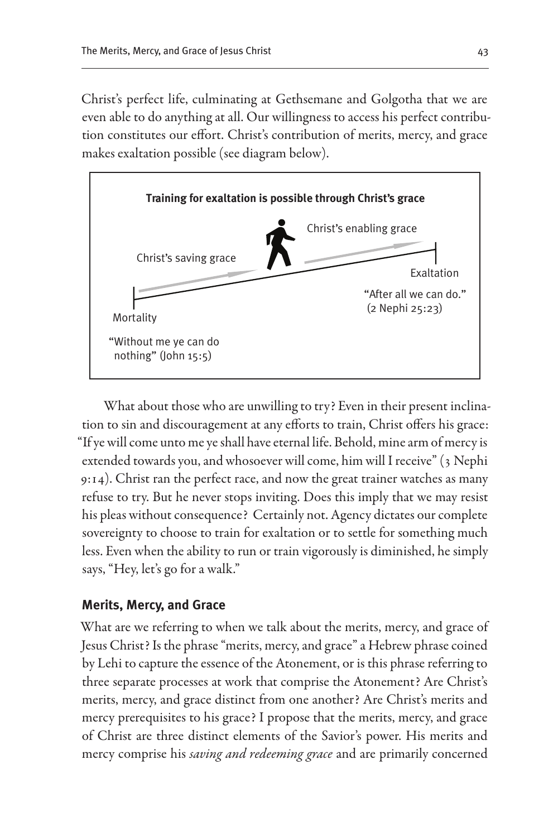Christ's perfect life, culminating at Gethsemane and Golgotha that we are even able to do anything at all. Our willingness to access his perfect contribution constitutes our effort. Christ's contribution of merits, mercy, and grace makes exaltation possible (see diagram below).



What about those who are unwilling to try? Even in their present inclination to sin and discouragement at any efforts to train, Christ offers his grace: "If ye will come unto me ye shall have eternal life. Behold, mine arm of mercy is extended towards you, and whosoever will come, him will I receive" (3 Nephi 9:14). Christ ran the perfect race, and now the great trainer watches as many refuse to try. But he never stops inviting. Does this imply that we may resist his pleas without consequence? Certainly not. Agency dictates our complete sovereignty to choose to train for exaltation or to settle for something much less. Even when the ability to run or train vigorously is diminished, he simply says, "Hey, let's go for a walk."

#### **Merits, Mercy, and Grace**

What are we referring to when we talk about the merits, mercy, and grace of Jesus Christ? Is the phrase "merits, mercy, and grace" a Hebrew phrase coined by Lehi to capture the essence of the Atonement, or is this phrase referring to three separate processes at work that comprise the Atonement? Are Christ's merits, mercy, and grace distinct from one another? Are Christ's merits and mercy prerequisites to his grace? I propose that the merits, mercy, and grace of Christ are three distinct elements of the Savior's power. His merits and mercy comprise his *saving and redeeming grace* and are primarily concerned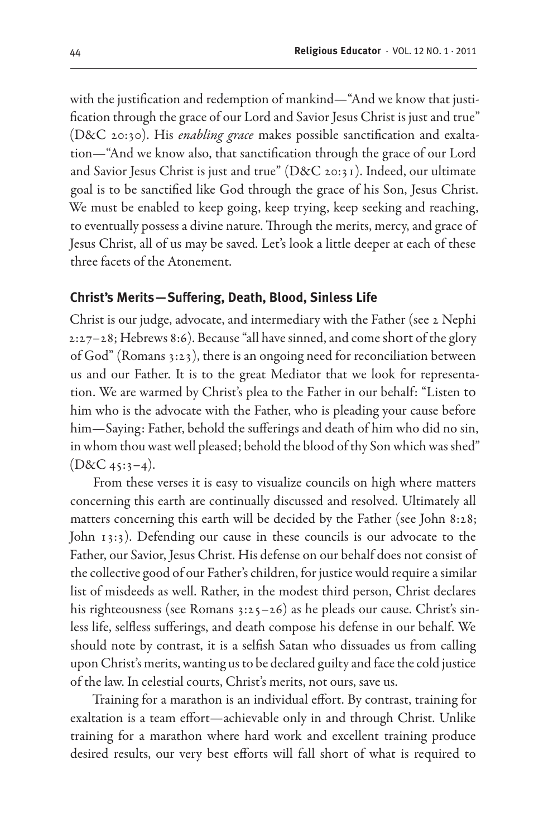with the justification and redemption of mankind—"And we know that justification through the grace of our Lord and Savior Jesus Christ is just and true" (D&C 20:30). His *enabling grace* makes possible sanctification and exaltation—"And we know also, that sanctification through the grace of our Lord and Savior Jesus Christ is just and true" (D&C 20:31). Indeed, our ultimate goal is to be sanctified like God through the grace of his Son, Jesus Christ. We must be enabled to keep going, keep trying, keep seeking and reaching, to eventually possess a divine nature. Through the merits, mercy, and grace of Jesus Christ, all of us may be saved. Let's look a little deeper at each of these three facets of the Atonement.

#### **Christ's Merits—Suffering, Death, Blood, Sinless Life**

Christ is our judge, advocate, and intermediary with the Father (see 2 Nephi 2:27–28; Hebrews 8:6). Because "all have sinned, and come short of the glory of God" (Romans 3:23), there is an ongoing need for reconciliation between us and our Father. It is to the great Mediator that we look for representation. We are warmed by Christ's plea to the Father in our behalf: "Listen to him who is the advocate with the Father, who is pleading your cause before him—Saying: Father, behold the sufferings and death of him who did no sin, in whom thou wast well pleased; behold the blood of thy Son which was shed"  $(D&C_4$ 5:3–4).

From these verses it is easy to visualize councils on high where matters concerning this earth are continually discussed and resolved. Ultimately all matters concerning this earth will be decided by the Father (see John 8:28; John 13:3). Defending our cause in these councils is our advocate to the Father, our Savior, Jesus Christ. His defense on our behalf does not consist of the collective good of our Father's children, for justice would require a similar list of misdeeds as well. Rather, in the modest third person, Christ declares his righteousness (see Romans  $3:25-26$ ) as he pleads our cause. Christ's sinless life, selfless sufferings, and death compose his defense in our behalf. We should note by contrast, it is a selfish Satan who dissuades us from calling upon Christ's merits, wanting us to be declared guilty and face the cold justice of the law. In celestial courts, Christ's merits, not ours, save us.

Training for a marathon is an individual effort. By contrast, training for exaltation is a team effort—achievable only in and through Christ. Unlike training for a marathon where hard work and excellent training produce desired results, our very best efforts will fall short of what is required to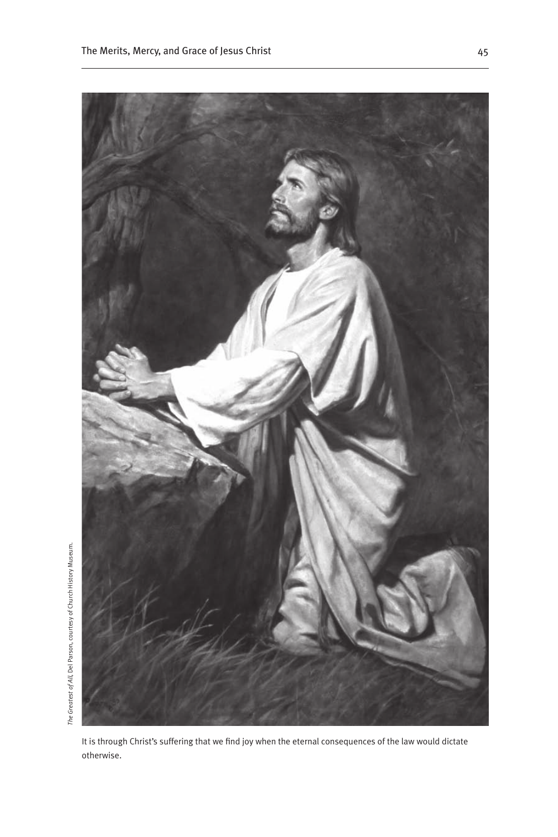*The Greatest of All*, Del Parson, courtesy of Church History Museum.



It is through Christ's suffering that we find joy when the eternal consequences of the law would dictate otherwise.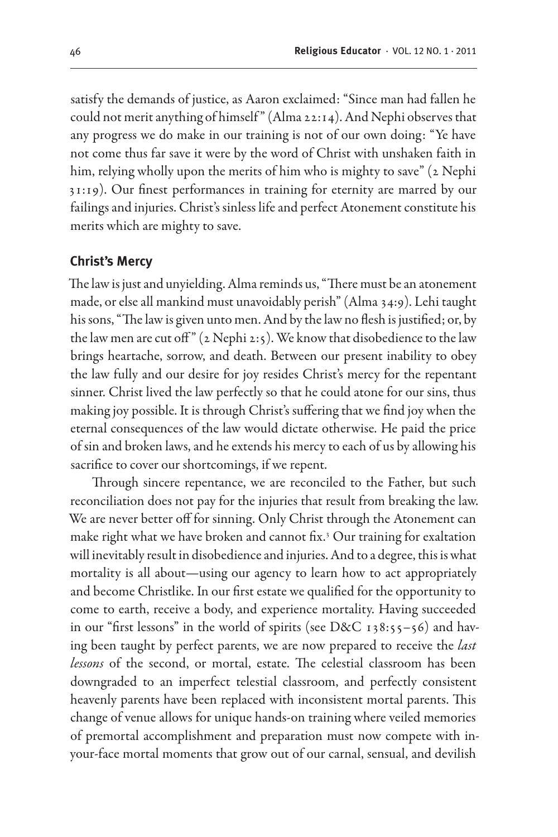satisfy the demands of justice, as Aaron exclaimed: "Since man had fallen he could not merit anything of himself " (Alma 22:14). And Nephi observes that any progress we do make in our training is not of our own doing: "Ye have not come thus far save it were by the word of Christ with unshaken faith in him, relying wholly upon the merits of him who is mighty to save" (2 Nephi 31:19). Our finest performances in training for eternity are marred by our failings and injuries. Christ's sinless life and perfect Atonement constitute his merits which are mighty to save.

#### **Christ's Mercy**

The law is just and unyielding. Alma reminds us, "There must be an atonement made, or else all mankind must unavoidably perish" (Alma 34:9). Lehi taught his sons, "The law is given unto men. And by the law no flesh is justified; or, by the law men are cut off"  $(2 \text{ Nephi } 2:5)$ . We know that disobedience to the law brings heartache, sorrow, and death. Between our present inability to obey the law fully and our desire for joy resides Christ's mercy for the repentant sinner. Christ lived the law perfectly so that he could atone for our sins, thus making joy possible. It is through Christ's suffering that we find joy when the eternal consequences of the law would dictate otherwise. He paid the price of sin and broken laws, and he extends his mercy to each of us by allowing his sacrifice to cover our shortcomings, if we repent.

Through sincere repentance, we are reconciled to the Father, but such reconciliation does not pay for the injuries that result from breaking the law. We are never better off for sinning. Only Christ through the Atonement can make right what we have broken and cannot fix.3 Our training for exaltation will inevitably result in disobedience and injuries. And to a degree, this is what mortality is all about—using our agency to learn how to act appropriately and become Christlike. In our first estate we qualified for the opportunity to come to earth, receive a body, and experience mortality. Having succeeded in our "first lessons" in the world of spirits (see D&C 138:55–56) and having been taught by perfect parents, we are now prepared to receive the *last lessons* of the second, or mortal, estate. The celestial classroom has been downgraded to an imperfect telestial classroom, and perfectly consistent heavenly parents have been replaced with inconsistent mortal parents. This change of venue allows for unique hands-on training where veiled memories of premortal accomplishment and preparation must now compete with inyour-face mortal moments that grow out of our carnal, sensual, and devilish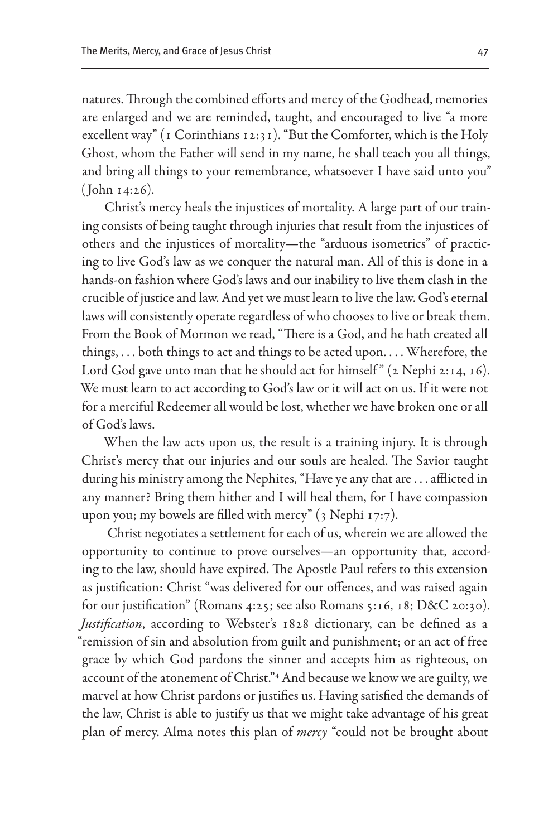natures. Through the combined efforts and mercy of the Godhead, memories are enlarged and we are reminded, taught, and encouraged to live "a more excellent way" (1 Corinthians 12:31). "But the Comforter, which is the Holy Ghost, whom the Father will send in my name, he shall teach you all things, and bring all things to your remembrance, whatsoever I have said unto you" ( John 14:26).

Christ's mercy heals the injustices of mortality. A large part of our training consists of being taught through injuries that result from the injustices of others and the injustices of mortality—the "arduous isometrics" of practicing to live God's law as we conquer the natural man. All of this is done in a hands-on fashion where God's laws and our inability to live them clash in the crucible of justice and law. And yet we must learn to live the law. God's eternal laws will consistently operate regardless of who chooses to live or break them. From the Book of Mormon we read, "There is a God, and he hath created all things, . . . both things to act and things to be acted upon. . . . Wherefore, the Lord God gave unto man that he should act for himself"  $(2$  Nephi 2:14, 16). We must learn to act according to God's law or it will act on us. If it were not for a merciful Redeemer all would be lost, whether we have broken one or all of God's laws.

When the law acts upon us, the result is a training injury. It is through Christ's mercy that our injuries and our souls are healed. The Savior taught during his ministry among the Nephites, "Have ye any that are . . . afflicted in any manner? Bring them hither and I will heal them, for I have compassion upon you; my bowels are filled with mercy" (3 Nephi 17:7).

 Christ negotiates a settlement for each of us, wherein we are allowed the opportunity to continue to prove ourselves—an opportunity that, according to the law, should have expired. The Apostle Paul refers to this extension as justification: Christ "was delivered for our offences, and was raised again for our justification" (Romans 4:25; see also Romans 5:16, 18; D&C 20:30). *Justification*, according to Webster's 1828 dictionary, can be defined as a "remission of sin and absolution from guilt and punishment; or an act of free grace by which God pardons the sinner and accepts him as righteous, on account of the atonement of Christ."4 And because we know we are guilty, we marvel at how Christ pardons or justifies us. Having satisfied the demands of the law, Christ is able to justify us that we might take advantage of his great plan of mercy. Alma notes this plan of *mercy* "could not be brought about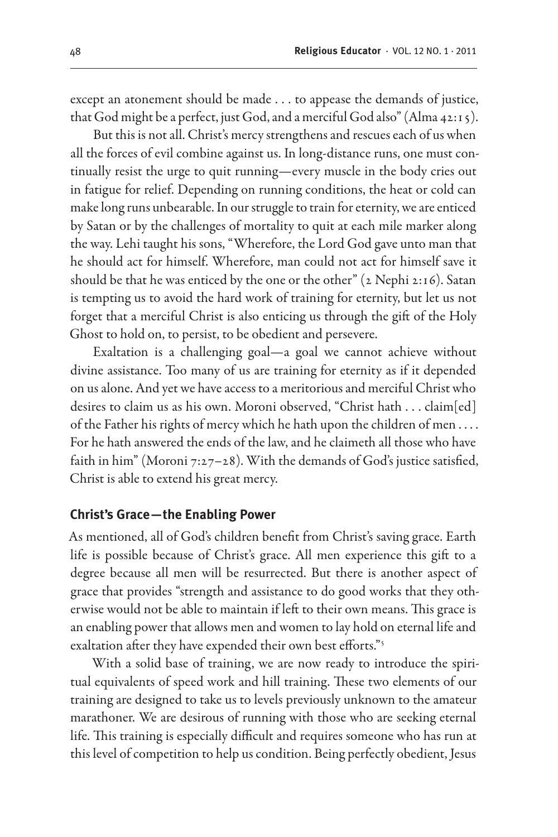except an atonement should be made . . . to appease the demands of justice, that God might be a perfect, just God, and a merciful God also" (Alma 42:15).

But this is not all. Christ's mercy strengthens and rescues each of us when all the forces of evil combine against us. In long-distance runs, one must continually resist the urge to quit running—every muscle in the body cries out in fatigue for relief. Depending on running conditions, the heat or cold can make long runs unbearable. In our struggle to train for eternity, we are enticed by Satan or by the challenges of mortality to quit at each mile marker along the way. Lehi taught his sons, "Wherefore, the Lord God gave unto man that he should act for himself. Wherefore, man could not act for himself save it should be that he was enticed by the one or the other"  $(z \text{ Nephi } z:16)$ . Satan is tempting us to avoid the hard work of training for eternity, but let us not forget that a merciful Christ is also enticing us through the gift of the Holy Ghost to hold on, to persist, to be obedient and persevere.

Exaltation is a challenging goal—a goal we cannot achieve without divine assistance. Too many of us are training for eternity as if it depended on us alone. And yet we have access to a meritorious and merciful Christ who desires to claim us as his own. Moroni observed, "Christ hath . . . claim[ed] of the Father his rights of mercy which he hath upon the children of men . . . . For he hath answered the ends of the law, and he claimeth all those who have faith in him" (Moroni 7:27-28). With the demands of God's justice satisfied, Christ is able to extend his great mercy.

#### **Christ's Grace—the Enabling Power**

As mentioned, all of God's children benefit from Christ's saving grace. Earth life is possible because of Christ's grace. All men experience this gift to a degree because all men will be resurrected. But there is another aspect of grace that provides "strength and assistance to do good works that they otherwise would not be able to maintain if left to their own means. This grace is an enabling power that allows men and women to lay hold on eternal life and exaltation after they have expended their own best efforts."5

With a solid base of training, we are now ready to introduce the spiritual equivalents of speed work and hill training. These two elements of our training are designed to take us to levels previously unknown to the amateur marathoner. We are desirous of running with those who are seeking eternal life. This training is especially difficult and requires someone who has run at this level of competition to help us condition. Being perfectly obedient, Jesus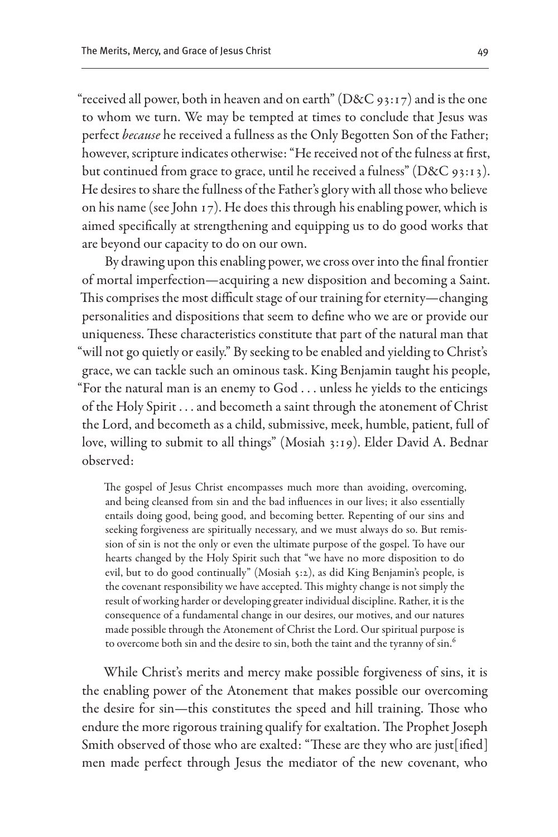"received all power, both in heaven and on earth" (D&C 93:17) and is the one to whom we turn. We may be tempted at times to conclude that Jesus was perfect *because* he received a fullness as the Only Begotten Son of the Father; however, scripture indicates otherwise: "He received not of the fulness at first, but continued from grace to grace, until he received a fulness" (D&C 93:13). He desires to share the fullness of the Father's glory with all those who believe on his name (see John 17). He does this through his enabling power, which is aimed specifically at strengthening and equipping us to do good works that are beyond our capacity to do on our own.

By drawing upon this enabling power, we cross over into the final frontier of mortal imperfection—acquiring a new disposition and becoming a Saint. This comprises the most difficult stage of our training for eternity—changing personalities and dispositions that seem to define who we are or provide our uniqueness. These characteristics constitute that part of the natural man that "will not go quietly or easily." By seeking to be enabled and yielding to Christ's grace, we can tackle such an ominous task. King Benjamin taught his people, "For the natural man is an enemy to God . . . unless he yields to the enticings of the Holy Spirit . . . and becometh a saint through the atonement of Christ the Lord, and becometh as a child, submissive, meek, humble, patient, full of love, willing to submit to all things" (Mosiah 3:19). Elder David A. Bednar observed:

The gospel of Jesus Christ encompasses much more than avoiding, overcoming, and being cleansed from sin and the bad influences in our lives; it also essentially entails doing good, being good, and becoming better. Repenting of our sins and seeking forgiveness are spiritually necessary, and we must always do so. But remission of sin is not the only or even the ultimate purpose of the gospel. To have our hearts changed by the Holy Spirit such that "we have no more disposition to do evil, but to do good continually" (Mosiah 5:2), as did King Benjamin's people, is the covenant responsibility we have accepted. This mighty change is not simply the result of working harder or developing greater individual discipline. Rather, it is the consequence of a fundamental change in our desires, our motives, and our natures made possible through the Atonement of Christ the Lord. Our spiritual purpose is to overcome both sin and the desire to sin, both the taint and the tyranny of sin.<sup>6</sup>

While Christ's merits and mercy make possible forgiveness of sins, it is the enabling power of the Atonement that makes possible our overcoming the desire for sin—this constitutes the speed and hill training. Those who endure the more rigorous training qualify for exaltation. The Prophet Joseph Smith observed of those who are exalted: "These are they who are just[ified] men made perfect through Jesus the mediator of the new covenant, who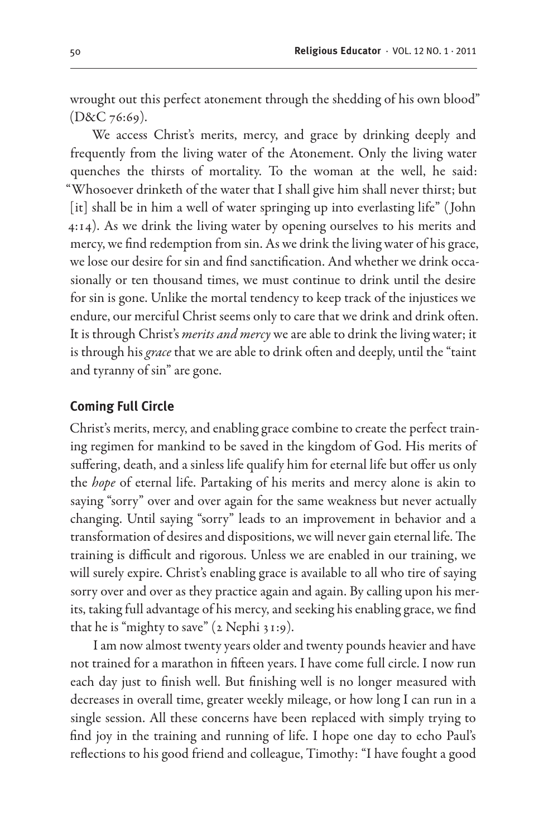wrought out this perfect atonement through the shedding of his own blood" (D&C 76:69).

We access Christ's merits, mercy, and grace by drinking deeply and frequently from the living water of the Atonement. Only the living water quenches the thirsts of mortality. To the woman at the well, he said: "Whosoever drinketh of the water that I shall give him shall never thirst; but [it] shall be in him a well of water springing up into everlasting life" (John 4:14). As we drink the living water by opening ourselves to his merits and mercy, we find redemption from sin. As we drink the living water of his grace, we lose our desire for sin and find sanctification. And whether we drink occasionally or ten thousand times, we must continue to drink until the desire for sin is gone. Unlike the mortal tendency to keep track of the injustices we endure, our merciful Christ seems only to care that we drink and drink often. It is through Christ's *merits and mercy* we are able to drink the living water; it is through his *grace* that we are able to drink often and deeply, until the "taint and tyranny of sin" are gone.

#### **Coming Full Circle**

Christ's merits, mercy, and enabling grace combine to create the perfect training regimen for mankind to be saved in the kingdom of God. His merits of suffering, death, and a sinless life qualify him for eternal life but offer us only the *hope* of eternal life. Partaking of his merits and mercy alone is akin to saying "sorry" over and over again for the same weakness but never actually changing. Until saying "sorry" leads to an improvement in behavior and a transformation of desires and dispositions, we will never gain eternal life. The training is difficult and rigorous. Unless we are enabled in our training, we will surely expire. Christ's enabling grace is available to all who tire of saying sorry over and over as they practice again and again. By calling upon his merits, taking full advantage of his mercy, and seeking his enabling grace, we find that he is "mighty to save" (2 Nephi 31:9).

I am now almost twenty years older and twenty pounds heavier and have not trained for a marathon in fifteen years. I have come full circle. I now run each day just to finish well. But finishing well is no longer measured with decreases in overall time, greater weekly mileage, or how long I can run in a single session. All these concerns have been replaced with simply trying to find joy in the training and running of life. I hope one day to echo Paul's reflections to his good friend and colleague, Timothy: "I have fought a good